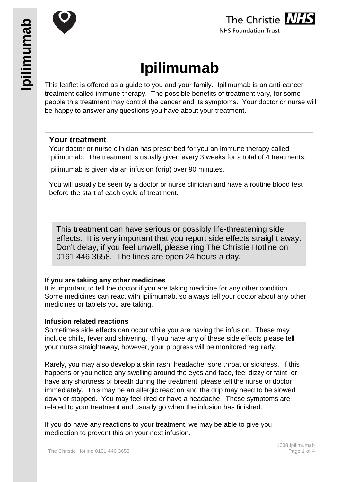



# **Ipilimumab**

This leaflet is offered as a guide to you and your family. Ipilimumab is an anti-cancer treatment called immune therapy. The possible benefits of treatment vary, for some people this treatment may control the cancer and its symptoms. Your doctor or nurse will be happy to answer any questions you have about your treatment.

## **Your treatment**

Your doctor or nurse clinician has prescribed for you an immune therapy called Ipilimumab. The treatment is usually given every 3 weeks for a total of 4 treatments.

Ipilimumab is given via an infusion (drip) over 90 minutes.

You will usually be seen by a doctor or nurse clinician and have a routine blood test before the start of each cycle of treatment.

This treatment can have serious or possibly life-threatening side effects. It is very important that you report side effects straight away. Don't delay, if you feel unwell, please ring The Christie Hotline on 0161 446 3658. The lines are open 24 hours a day.

## **If you are taking any other medicines**

It is important to tell the doctor if you are taking medicine for any other condition. Some medicines can react with Ipilimumab, so always tell your doctor about any other medicines or tablets you are taking.

#### **Infusion related reactions**

Sometimes side effects can occur while you are having the infusion. These may include chills, fever and shivering. If you have any of these side effects please tell your nurse straightaway, however, your progress will be monitored regularly.

Rarely, you may also develop a skin rash, headache, sore throat or sickness. If this happens or you notice any swelling around the eyes and face, feel dizzy or faint, or have any shortness of breath during the treatment, please tell the nurse or doctor immediately. This may be an allergic reaction and the drip may need to be slowed down or stopped. You may feel tired or have a headache. These symptoms are related to your treatment and usually go when the infusion has finished.

If you do have any reactions to your treatment, we may be able to give you medication to prevent this on your next infusion.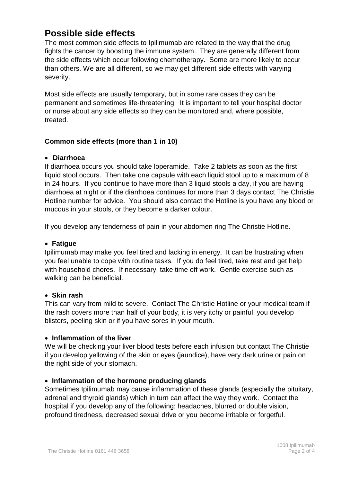# **Possible side effects**

The most common side effects to Ipilimumab are related to the way that the drug fights the cancer by boosting the immune system. They are generally different from the side effects which occur following chemotherapy. Some are more likely to occur than others. We are all different, so we may get different side effects with varying severity.

Most side effects are usually temporary, but in some rare cases they can be permanent and sometimes life-threatening. It is important to tell your hospital doctor or nurse about any side effects so they can be monitored and, where possible, treated.

## **Common side effects (more than 1 in 10)**

#### **Diarrhoea**

If diarrhoea occurs you should take loperamide. Take 2 tablets as soon as the first liquid stool occurs. Then take one capsule with each liquid stool up to a maximum of 8 in 24 hours. If you continue to have more than 3 liquid stools a day, if you are having diarrhoea at night or if the diarrhoea continues for more than 3 days contact The Christie Hotline number for advice. You should also contact the Hotline is you have any blood or mucous in your stools, or they become a darker colour.

If you develop any tenderness of pain in your abdomen ring The Christie Hotline.

### **Fatigue**

Ipilimumab may make you feel tired and lacking in energy. It can be frustrating when you feel unable to cope with routine tasks. If you do feel tired, take rest and get help with household chores. If necessary, take time off work. Gentle exercise such as walking can be beneficial.

#### **Skin rash**

This can vary from mild to severe. Contact The Christie Hotline or your medical team if the rash covers more than half of your body, it is very itchy or painful, you develop blisters, peeling skin or if you have sores in your mouth.

#### **Inflammation of the liver**

We will be checking your liver blood tests before each infusion but contact The Christie if you develop yellowing of the skin or eyes (jaundice), have very dark urine or pain on the right side of your stomach.

#### **Inflammation of the hormone producing glands**

Sometimes Ipilimumab may cause inflammation of these glands (especially the pituitary, adrenal and thyroid glands) which in turn can affect the way they work. Contact the hospital if you develop any of the following: headaches, blurred or double vision, profound tiredness, decreased sexual drive or you become irritable or forgetful.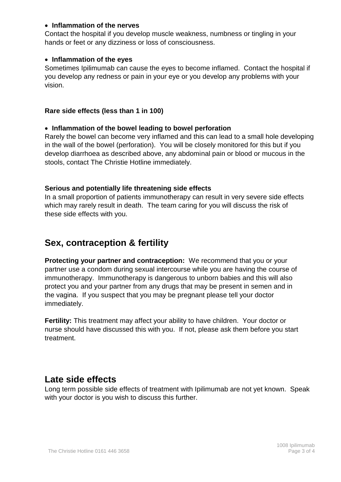#### **Inflammation of the nerves**

Contact the hospital if you develop muscle weakness, numbness or tingling in your hands or feet or any dizziness or loss of consciousness.

#### **Inflammation of the eyes**

Sometimes Ipilimumab can cause the eyes to become inflamed. Contact the hospital if you develop any redness or pain in your eye or you develop any problems with your vision.

#### **Rare side effects (less than 1 in 100)**

#### **Inflammation of the bowel leading to bowel perforation**

Rarely the bowel can become very inflamed and this can lead to a small hole developing in the wall of the bowel (perforation). You will be closely monitored for this but if you develop diarrhoea as described above, any abdominal pain or blood or mucous in the stools, contact The Christie Hotline immediately.

#### **Serious and potentially life threatening side effects**

In a small proportion of patients immunotherapy can result in very severe side effects which may rarely result in death. The team caring for you will discuss the risk of these side effects with you.

# **Sex, contraception & fertility**

**Protecting your partner and contraception:** We recommend that you or your partner use a condom during sexual intercourse while you are having the course of immunotherapy. Immunotherapy is dangerous to unborn babies and this will also protect you and your partner from any drugs that may be present in semen and in the vagina. If you suspect that you may be pregnant please tell your doctor immediately.

**Fertility:** This treatment may affect your ability to have children. Your doctor or nurse should have discussed this with you. If not, please ask them before you start treatment.

# **Late side effects**

Long term possible side effects of treatment with Ipilimumab are not yet known. Speak with your doctor is you wish to discuss this further.